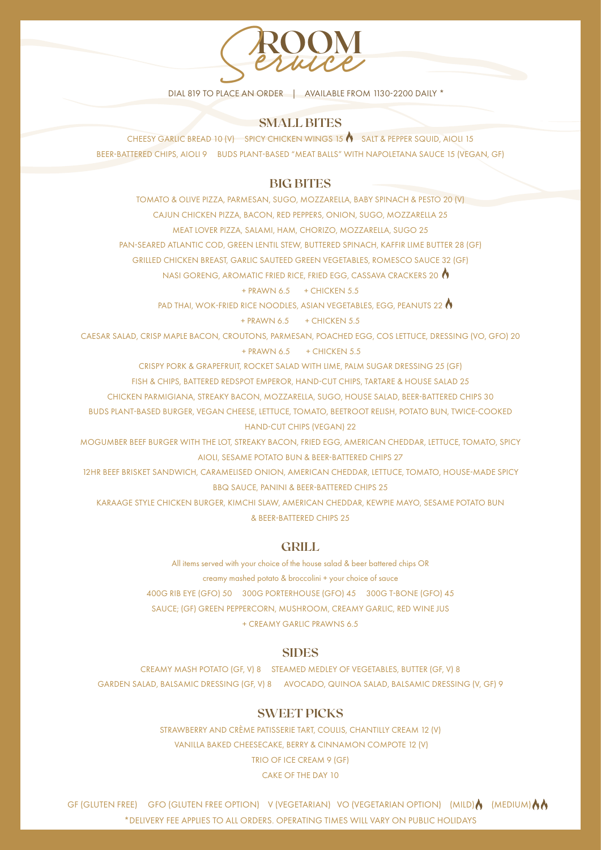

#### **SMALL BITES**

CHEESY GARLIC BREAD 10 (V) SPICY CHICKEN WINGS 15 3ALT & PEPPER SQUID, AIOLI 15 BEER-BATTERED CHIPS, AIOLI 9 BUDS PLANT-BASED "MEAT BALLS" WITH NAPOLETANA SAUCE 15 (VEGAN, GF)

#### **BIG BITES**

TOMATO & OLIVE PIZZA, PARMESAN, SUGO, MOZZARELLA, BABY SPINACH & PESTO 20 (V) CAJUN CHICKEN PIZZA, BACON, RED PEPPERS, ONION, SUGO, MOZZARELLA 25 MEAT LOVER PIZZA, SALAMI, HAM, CHORIZO, MOZZARELLA, SUGO 25

PAN-SEARED ATLANTIC COD, GREEN LENTIL STEW, BUTTERED SPINACH, KAFFIR LIME BUTTER 28 (GF)

GRILLED CHICKEN BREAST, GARLIC SAUTEED GREEN VEGETABLES, ROMESCO SAUCE 32 (GF)

NASI GORENG, AROMATIC FRIED RICE, FRIED EGG, CASSAVA CRACKERS 20

#### $+$  PRAWN 6.5  $+$  CHICKEN 5.5

PAD THAI, WOK-FRIED RICE NOODLES, ASIAN VEGETABLES, EGG, PEANUTS 22

#### $+$  PRAWN 6.5  $+$  CHICKEN 5.5

CAESAR SALAD, CRISP MAPLE BACON, CROUTONS, PARMESAN, POACHED EGG, COS LETTUCE, DRESSING (VO, GFO) 20

 $+$  PRAWN 6.5  $+$  CHICKEN 5.5

CRISPY PORK & GRAPEFRUIT, ROCKET SALAD WITH LIME, PALM SUGAR DRESSING 25 (GF)

FISH & CHIPS, BATTERED REDSPOT EMPEROR, HAND-CUT CHIPS, TARTARE & HOUSE SALAD 25

CHICKEN PARMIGIANA, STREAKY BACON, MOZZARELLA, SUGO, HOUSE SALAD, BEER-BATTERED CHIPS 30

BUDS PLANT-BASED BURGER, VEGAN CHEESE, LETTUCE, TOMATO, BEETROOT RELISH, POTATO BUN, TWICE-COOKED HAND-CUT CHIPS (VEGAN) 22

MOGUMBER BEEF BURGER WITH THE LOT, STREAKY BACON, FRIED EGG, AMERICAN CHEDDAR, LETTUCE, TOMATO, SPICY AIOLI, SESAME POTATO BUN & BEER-BATTERED CHIPS 27

12HR BEEF BRISKET SANDWICH, CARAMELISED ONION, AMERICAN CHEDDAR, LETTUCE, TOMATO, HOUSE-MADE SPICY BBQ SAUCE, PANINI & BEER-BATTERED CHIPS 25

KARAAGE STYLE CHICKEN BURGER, KIMCHI SLAW, AMERICAN CHEDDAR, KEWPIE MAYO, SESAME POTATO BUN & BEER-BATTERED CHIPS 25

#### **GRILL**

All items served with your choice of the house salad & beer battered chips OR creamy mashed potato & broccolini + your choice of sauce 400G RIB EYE (GFO) 50 300G PORTERHOUSE (GFO) 45 300G T-BONE (GFO) 45 SAUCE; (GF) GREEN PEPPERCORN, MUSHROOM, CREAMY GARLIC, RED WINE JUS + CREAMY GARLIC PRAWNS 6.5

#### **SIDES**

CREAMY MASH POTATO (GF, V) 8 STEAMED MEDLEY OF VEGETABLES, BUTTER (GF, V) 8 GARDEN SALAD, BALSAMIC DRESSING (GF, V) 8 AVOCADO, QUINOA SALAD, BALSAMIC DRESSING (V, GF) 9

#### **SWEET PICKS**

STRAWBERRY AND CRÈME PATISSERIE TART, COULIS, CHANTILLY CREAM 12 (V) VANILLA BAKED CHEESECAKE, BERRY & CINNAMON COMPOTE 12 (V) TRIO OF ICE CREAM 9 (GF) CAKE OF THE DAY 10

GF (GLUTEN FREE) GFO (GLUTEN FREE OPTION) V (VEGETARIAN) VO (VEGETARIAN OPTION) (MILD) (MEDIUM)  $\bigwedge$ \*DELIVERY FEE APPLIES TO ALL ORDERS. OPERATING TIMES WILL VARY ON PUBLIC HOLIDAYS